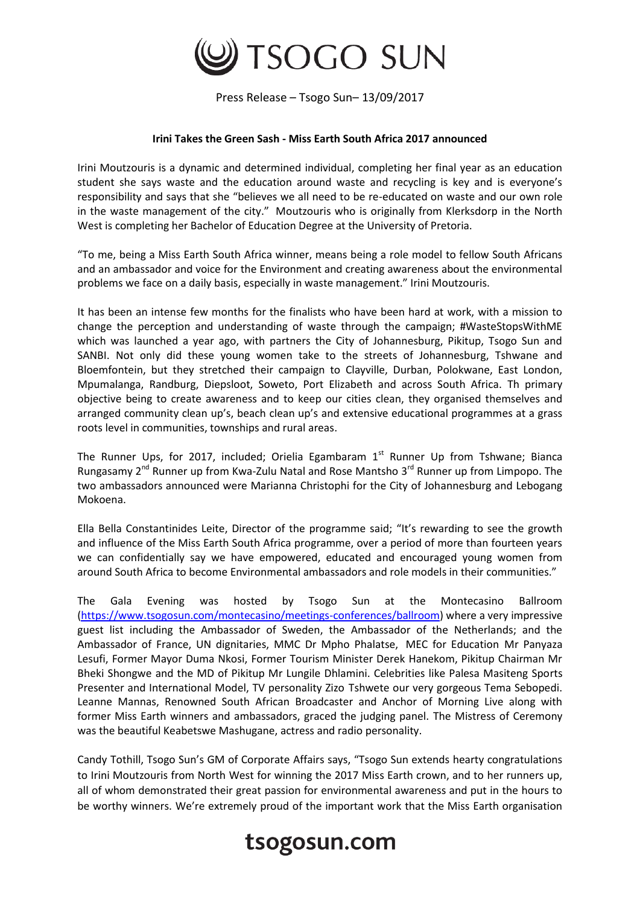

Press Release – Tsogo Sun– 13/09/2017

## **Irini Takes the Green Sash - Miss Earth South Africa 2017 announced**

Irini Moutzouris is a dynamic and determined individual, completing her final year as an education student she says waste and the education around waste and recycling is key and is everyone's responsibility and says that she "believes we all need to be re-educated on waste and our own role in the waste management of the city." Moutzouris who is originally from Klerksdorp in the North West is completing her Bachelor of Education Degree at the University of Pretoria.

"To me, being a Miss Earth South Africa winner, means being a role model to fellow South Africans and an ambassador and voice for the Environment and creating awareness about the environmental problems we face on a daily basis, especially in waste management." Irini Moutzouris.

It has been an intense few months for the finalists who have been hard at work, with a mission to change the perception and understanding of waste through the campaign; #WasteStopsWithME which was launched a year ago, with partners the City of Johannesburg, Pikitup, Tsogo Sun and SANBI. Not only did these young women take to the streets of Johannesburg, Tshwane and Bloemfontein, but they stretched their campaign to Clayville, Durban, Polokwane, East London, Mpumalanga, Randburg, Diepsloot, Soweto, Port Elizabeth and across South Africa. Th primary objective being to create awareness and to keep our cities clean, they organised themselves and arranged community clean up's, beach clean up's and extensive educational programmes at a grass roots level in communities, townships and rural areas.

The Runner Ups, for 2017, included; Orielia Egambaram  $1<sup>st</sup>$  Runner Up from Tshwane; Bianca Rungasamy  $2^{nd}$  Runner up from Kwa-Zulu Natal and Rose Mantsho  $3^{rd}$  Runner up from Limpopo. The two ambassadors announced were Marianna Christophi for the City of Johannesburg and Lebogang Mokoena.

Ella Bella Constantinides Leite, Director of the programme said; "It's rewarding to see the growth and influence of the Miss Earth South Africa programme, over a period of more than fourteen years we can confidentially say we have empowered, educated and encouraged young women from around South Africa to become Environmental ambassadors and role models in their communities."

The Gala Evening was hosted by Tsogo Sun at the Montecasino Ballroom [\(https://www.tsogosun.com/montecasino/meetings-conferences/ballroom\)](https://www.tsogosun.com/montecasino/meetings-conferences/ballroom) where a very impressive guest list including the Ambassador of Sweden, the Ambassador of the Netherlands; and the Ambassador of France, UN dignitaries, MMC Dr Mpho Phalatse, MEC for Education Mr Panyaza Lesufi, Former Mayor Duma Nkosi, Former Tourism Minister Derek Hanekom, Pikitup Chairman Mr Bheki Shongwe and the MD of Pikitup Mr Lungile Dhlamini. Celebrities like Palesa Masiteng Sports Presenter and International Model, TV personality Zizo Tshwete our very gorgeous Tema Sebopedi. Leanne Mannas, Renowned South African Broadcaster and Anchor of Morning Live along with former Miss Earth winners and ambassadors, graced the judging panel. The Mistress of Ceremony was the beautiful Keabetswe Mashugane, actress and radio personality.

Candy Tothill, Tsogo Sun's GM of Corporate Affairs says, "Tsogo Sun extends hearty congratulations to Irini Moutzouris from North West for winning the 2017 Miss Earth crown, and to her runners up, all of whom demonstrated their great passion for environmental awareness and put in the hours to be worthy winners. We're extremely proud of the important work that the Miss Earth organisation

## tsogosun.com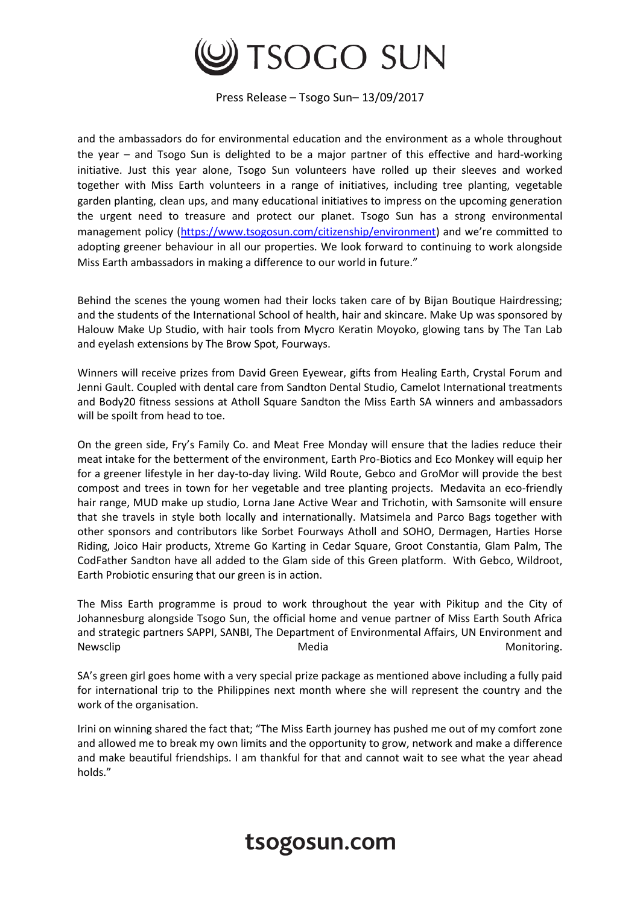

Press Release – Tsogo Sun– 13/09/2017

and the ambassadors do for environmental education and the environment as a whole throughout the year – and Tsogo Sun is delighted to be a major partner of this effective and hard-working initiative. Just this year alone, Tsogo Sun volunteers have rolled up their sleeves and worked together with Miss Earth volunteers in a range of initiatives, including tree planting, vegetable garden planting, clean ups, and many educational initiatives to impress on the upcoming generation the urgent need to treasure and protect our planet. Tsogo Sun has a strong environmental management policy [\(https://www.tsogosun.com/citizenship/environment](https://www.tsogosun.com/citizenship/environment)) and we're committed to adopting greener behaviour in all our properties. We look forward to continuing to work alongside Miss Earth ambassadors in making a difference to our world in future."

Behind the scenes the young women had their locks taken care of by Bijan Boutique Hairdressing; and the students of the International School of health, hair and skincare. Make Up was sponsored by Halouw Make Up Studio, with hair tools from Mycro Keratin Moyoko, glowing tans by The Tan Lab and eyelash extensions by The Brow Spot, Fourways.

Winners will receive prizes from David Green Eyewear, gifts from Healing Earth, Crystal Forum and Jenni Gault. Coupled with dental care from Sandton Dental Studio, Camelot International treatments and Body20 fitness sessions at Atholl Square Sandton the Miss Earth SA winners and ambassadors will be spoilt from head to toe.

On the green side, Fry's Family Co. and Meat Free Monday will ensure that the ladies reduce their meat intake for the betterment of the environment, Earth Pro-Biotics and Eco Monkey will equip her for a greener lifestyle in her day-to-day living. Wild Route, Gebco and GroMor will provide the best compost and trees in town for her vegetable and tree planting projects. Medavita an eco-friendly hair range, MUD make up studio, Lorna Jane Active Wear and Trichotin, with Samsonite will ensure that she travels in style both locally and internationally. Matsimela and Parco Bags together with other sponsors and contributors like Sorbet Fourways Atholl and SOHO, Dermagen, Harties Horse Riding, Joico Hair products, Xtreme Go Karting in Cedar Square, Groot Constantia, Glam Palm, The CodFather Sandton have all added to the Glam side of this Green platform. With Gebco, Wildroot, Earth Probiotic ensuring that our green is in action.

The Miss Earth programme is proud to work throughout the year with Pikitup and the City of Johannesburg alongside Tsogo Sun, the official home and venue partner of Miss Earth South Africa and strategic partners SAPPI, SANBI, The Department of Environmental Affairs, UN Environment and Newsclip **Media** Media **Media** Monitoring.

SA's green girl goes home with a very special prize package as mentioned above including a fully paid for international trip to the Philippines next month where she will represent the country and the work of the organisation.

Irini on winning shared the fact that; "The Miss Earth journey has pushed me out of my comfort zone and allowed me to break my own limits and the opportunity to grow, network and make a difference and make beautiful friendships. I am thankful for that and cannot wait to see what the year ahead holds."

## tsogosun.com